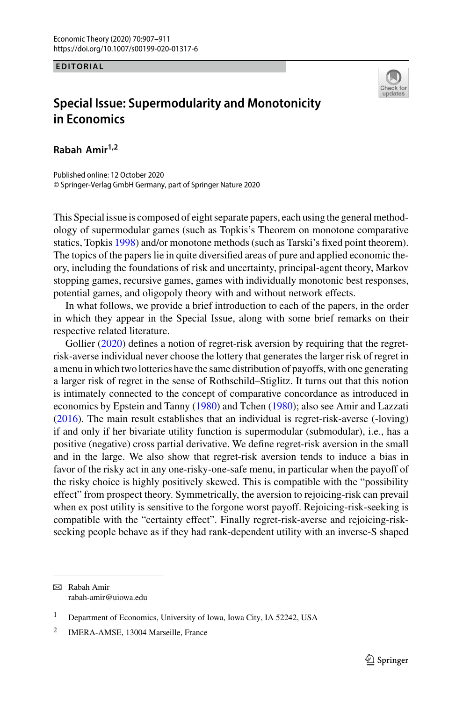## **EDITORIAL**



## **Special Issue: Supermodularity and Monotonicity in Economics**

**Rabah Amir1,2**

Published online: 12 October 2020 © Springer-Verlag GmbH Germany, part of Springer Nature 2020

This Special issue is composed of eight separate papers, each using the general methodology of supermodular games (such as Topkis's Theorem on monotone comparative statics, Topkis [1998\)](#page-4-0) and/or monotone methods (such as Tarski's fixed point theorem). The topics of the papers lie in quite diversified areas of pure and applied economic theory, including the foundations of risk and uncertainty, principal-agent theory, Markov stopping games, recursive games, games with individually monotonic best responses, potential games, and oligopoly theory with and without network effects.

In what follows, we provide a brief introduction to each of the papers, in the order in which they appear in the Special Issue, along with some brief remarks on their respective related literature.

Gollier [\(2020\)](#page-4-1) defines a notion of regret-risk aversion by requiring that the regretrisk-averse individual never choose the lottery that generates the larger risk of regret in a menu in which two lotteries have the same distribution of payoffs, with one generating a larger risk of regret in the sense of Rothschild–Stiglitz. It turns out that this notion is intimately connected to the concept of comparative concordance as introduced in economics by Epstein and Tanny [\(1980\)](#page-4-2) and Tchen [\(1980\)](#page-4-3); also see Amir and Lazzati [\(2016\)](#page-3-0). The main result establishes that an individual is regret-risk-averse (-loving) if and only if her bivariate utility function is supermodular (submodular), i.e., has a positive (negative) cross partial derivative. We define regret-risk aversion in the small and in the large. We also show that regret-risk aversion tends to induce a bias in favor of the risky act in any one-risky-one-safe menu, in particular when the payoff of the risky choice is highly positively skewed. This is compatible with the "possibility effect" from prospect theory. Symmetrically, the aversion to rejoicing-risk can prevail when ex post utility is sensitive to the forgone worst payoff. Rejoicing-risk-seeking is compatible with the "certainty effect". Finally regret-risk-averse and rejoicing-riskseeking people behave as if they had rank-dependent utility with an inverse-S shaped

 $\boxtimes$  Rabah Amir rabah-amir@uiowa.edu

<sup>&</sup>lt;sup>1</sup> Department of Economics, University of Iowa, Iowa City, IA 52242, USA

<sup>2</sup> IMERA-AMSE, 13004 Marseille, France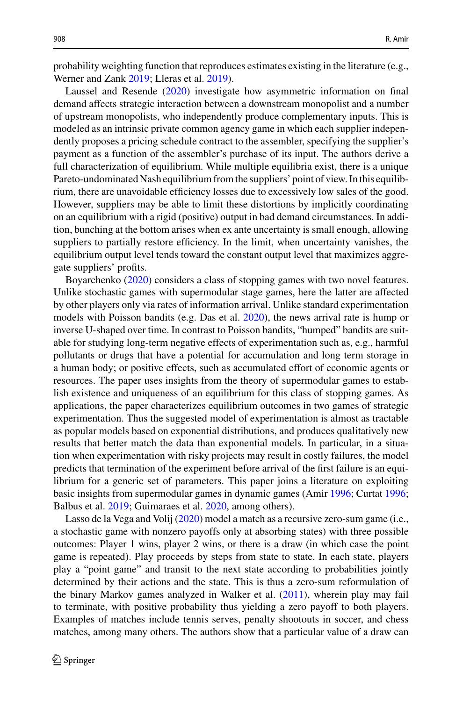probability weighting function that reproduces estimates existing in the literature (e.g., Werner and Zank [2019;](#page-4-4) Lleras et al. [2019\)](#page-4-5).

Laussel and Resende [\(2020\)](#page-4-6) investigate how asymmetric information on final demand affects strategic interaction between a downstream monopolist and a number of upstream monopolists, who independently produce complementary inputs. This is modeled as an intrinsic private common agency game in which each supplier independently proposes a pricing schedule contract to the assembler, specifying the supplier's payment as a function of the assembler's purchase of its input. The authors derive a full characterization of equilibrium. While multiple equilibria exist, there is a unique Pareto-undominated Nash equilibrium from the suppliers' point of view. In this equilibrium, there are unavoidable efficiency losses due to excessively low sales of the good. However, suppliers may be able to limit these distortions by implicitly coordinating on an equilibrium with a rigid (positive) output in bad demand circumstances. In addition, bunching at the bottom arises when ex ante uncertainty is small enough, allowing suppliers to partially restore efficiency. In the limit, when uncertainty vanishes, the equilibrium output level tends toward the constant output level that maximizes aggregate suppliers' profits.

Boyarchenko [\(2020\)](#page-3-1) considers a class of stopping games with two novel features. Unlike stochastic games with supermodular stage games, here the latter are affected by other players only via rates of information arrival. Unlike standard experimentation models with Poisson bandits (e.g. Das et al. [2020\)](#page-3-2), the news arrival rate is hump or inverse U-shaped over time. In contrast to Poisson bandits, "humped" bandits are suitable for studying long-term negative effects of experimentation such as, e.g., harmful pollutants or drugs that have a potential for accumulation and long term storage in a human body; or positive effects, such as accumulated effort of economic agents or resources. The paper uses insights from the theory of supermodular games to establish existence and uniqueness of an equilibrium for this class of stopping games. As applications, the paper characterizes equilibrium outcomes in two games of strategic experimentation. Thus the suggested model of experimentation is almost as tractable as popular models based on exponential distributions, and produces qualitatively new results that better match the data than exponential models. In particular, in a situation when experimentation with risky projects may result in costly failures, the model predicts that termination of the experiment before arrival of the first failure is an equilibrium for a generic set of parameters. This paper joins a literature on exploiting basic insights from supermodular games in dynamic games (Amir [1996;](#page-3-3) Curtat [1996;](#page-3-4) Balbus et al. [2019;](#page-3-5) Guimaraes et al. [2020,](#page-4-7) among others).

Lasso de la Vega and Volij [\(2020\)](#page-4-8) model a match as a recursive zero-sum game (i.e., a stochastic game with nonzero payoffs only at absorbing states) with three possible outcomes: Player 1 wins, player 2 wins, or there is a draw (in which case the point game is repeated). Play proceeds by steps from state to state. In each state, players play a "point game" and transit to the next state according to probabilities jointly determined by their actions and the state. This is thus a zero-sum reformulation of the binary Markov games analyzed in Walker et al. [\(2011\)](#page-4-9), wherein play may fail to terminate, with positive probability thus yielding a zero payoff to both players. Examples of matches include tennis serves, penalty shootouts in soccer, and chess matches, among many others. The authors show that a particular value of a draw can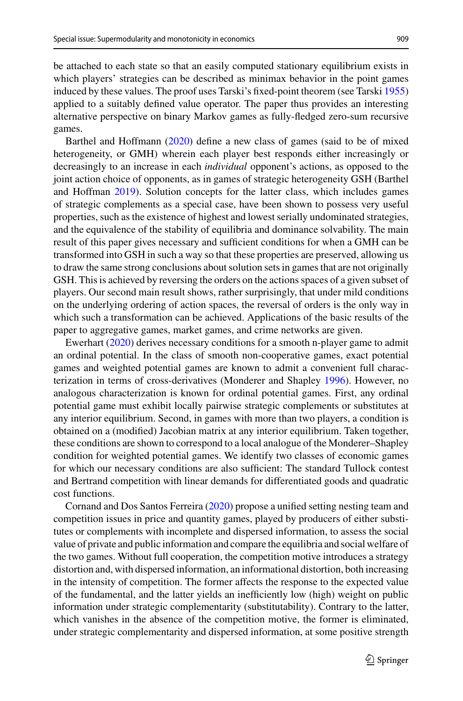be attached to each state so that an easily computed stationary equilibrium exists in which players' strategies can be described as minimax behavior in the point games induced by these values. The proof uses Tarski's fixed-point theorem (see Tarski [1955\)](#page-4-10) applied to a suitably defined value operator. The paper thus provides an interesting alternative perspective on binary Markov games as fully-fledged zero-sum recursive games.

Barthel and Hoffmann [\(2020\)](#page-3-6) define a new class of games (said to be of mixed heterogeneity, or GMH) wherein each player best responds either increasingly or decreasingly to an increase in each *individual* opponent's actions, as opposed to the joint action choice of opponents, as in games of strategic heterogeneity GSH (Barthel and Hoffman [2019\)](#page-3-7). Solution concepts for the latter class, which includes games of strategic complements as a special case, have been shown to possess very useful properties, such as the existence of highest and lowest serially undominated strategies, and the equivalence of the stability of equilibria and dominance solvability. The main result of this paper gives necessary and sufficient conditions for when a GMH can be transformed into GSH in such a way so that these properties are preserved, allowing us to draw the same strong conclusions about solution sets in games that are not originally GSH. This is achieved by reversing the orders on the actions spaces of a given subset of players. Our second main result shows, rather surprisingly, that under mild conditions on the underlying ordering of action spaces, the reversal of orders is the only way in which such a transformation can be achieved. Applications of the basic results of the paper to aggregative games, market games, and crime networks are given.

Ewerhart [\(2020\)](#page-4-11) derives necessary conditions for a smooth n-player game to admit an ordinal potential. In the class of smooth non-cooperative games, exact potential games and weighted potential games are known to admit a convenient full characterization in terms of cross-derivatives (Monderer and Shapley [1996\)](#page-4-12). However, no analogous characterization is known for ordinal potential games. First, any ordinal potential game must exhibit locally pairwise strategic complements or substitutes at any interior equilibrium. Second, in games with more than two players, a condition is obtained on a (modified) Jacobian matrix at any interior equilibrium. Taken together, these conditions are shown to correspond to a local analogue of the Monderer–Shapley condition for weighted potential games. We identify two classes of economic games for which our necessary conditions are also sufficient: The standard Tullock contest and Bertrand competition with linear demands for differentiated goods and quadratic cost functions.

Cornand and Dos Santos Ferreira [\(2020\)](#page-3-8) propose a unified setting nesting team and competition issues in price and quantity games, played by producers of either substitutes or complements with incomplete and dispersed information, to assess the social value of private and public information and compare the equilibria and social welfare of the two games. Without full cooperation, the competition motive introduces a strategy distortion and, with dispersed information, an informational distortion, both increasing in the intensity of competition. The former affects the response to the expected value of the fundamental, and the latter yields an inefficiently low (high) weight on public information under strategic complementarity (substitutability). Contrary to the latter, which vanishes in the absence of the competition motive, the former is eliminated, under strategic complementarity and dispersed information, at some positive strength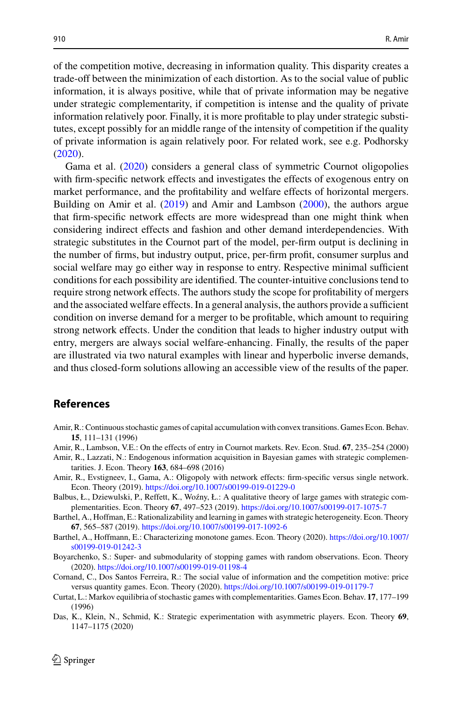of the competition motive, decreasing in information quality. This disparity creates a trade-off between the minimization of each distortion. As to the social value of public information, it is always positive, while that of private information may be negative under strategic complementarity, if competition is intense and the quality of private information relatively poor. Finally, it is more profitable to play under strategic substitutes, except possibly for an middle range of the intensity of competition if the quality of private information is again relatively poor. For related work, see e.g. Podhorsky [\(2020\)](#page-4-13).

Gama et al. [\(2020\)](#page-4-14) considers a general class of symmetric Cournot oligopolies with firm-specific network effects and investigates the effects of exogenous entry on market performance, and the profitability and welfare effects of horizontal mergers. Building on Amir et al. [\(2019\)](#page-3-9) and Amir and Lambson [\(2000\)](#page-3-10), the authors argue that firm-specific network effects are more widespread than one might think when considering indirect effects and fashion and other demand interdependencies. With strategic substitutes in the Cournot part of the model, per-firm output is declining in the number of firms, but industry output, price, per-firm profit, consumer surplus and social welfare may go either way in response to entry. Respective minimal sufficient conditions for each possibility are identified. The counter-intuitive conclusions tend to require strong network effects. The authors study the scope for profitability of mergers and the associated welfare effects. In a general analysis, the authors provide a sufficient condition on inverse demand for a merger to be profitable, which amount to requiring strong network effects. Under the condition that leads to higher industry output with entry, mergers are always social welfare-enhancing. Finally, the results of the paper are illustrated via two natural examples with linear and hyperbolic inverse demands, and thus closed-form solutions allowing an accessible view of the results of the paper.

## **References**

- <span id="page-3-3"></span>Amir, R.: Continuous stochastic games of capital accumulation with convex transitions. Games Econ. Behav. **15**, 111–131 (1996)
- <span id="page-3-10"></span>Amir, R., Lambson, V.E.: On the effects of entry in Cournot markets. Rev. Econ. Stud. **67**, 235–254 (2000)
- <span id="page-3-0"></span>Amir, R., Lazzati, N.: Endogenous information acquisition in Bayesian games with strategic complementarities. J. Econ. Theory **163**, 684–698 (2016)
- <span id="page-3-9"></span>Amir, R., Evstigneev, I., Gama, A.: Oligopoly with network effects: firm-specific versus single network. Econ. Theory (2019). <https://doi.org/10.1007/s00199-019-01229-0>
- <span id="page-3-5"></span>Balbus, Ł., Dziewulski, P., Reffett, K., Woźny, Ł.: A qualitative theory of large games with strategic complementarities. Econ. Theory **67**, 497–523 (2019). <https://doi.org/10.1007/s00199-017-1075-7>
- <span id="page-3-7"></span>Barthel, A., Hoffman, E.: Rationalizability and learning in games with strategic heterogeneity. Econ. Theory **67**, 565–587 (2019). <https://doi.org/10.1007/s00199-017-1092-6>
- <span id="page-3-6"></span>Bart[hel, A., Hoffmann, E.: Characterizing monotone games. Econ. Theory \(2020\).](https://doi.org/10.1007/s00199-019-01242-3) https://doi.org/10.1007/ s00199-019-01242-3
- <span id="page-3-1"></span>Boyarchenko, S.: Super- and submodularity of stopping games with random observations. Econ. Theory (2020). <https://doi.org/10.1007/s00199-019-01198-4>
- <span id="page-3-8"></span>Cornand, C., Dos Santos Ferreira, R.: The social value of information and the competition motive: price versus quantity games. Econ. Theory (2020). <https://doi.org/10.1007/s00199-019-01179-7>
- <span id="page-3-4"></span>Curtat, L.: Markov equilibria of stochastic games with complementarities. Games Econ. Behav. **17**, 177–199 (1996)
- <span id="page-3-2"></span>Das, K., Klein, N., Schmid, K.: Strategic experimentation with asymmetric players. Econ. Theory **69**, 1147–1175 (2020)